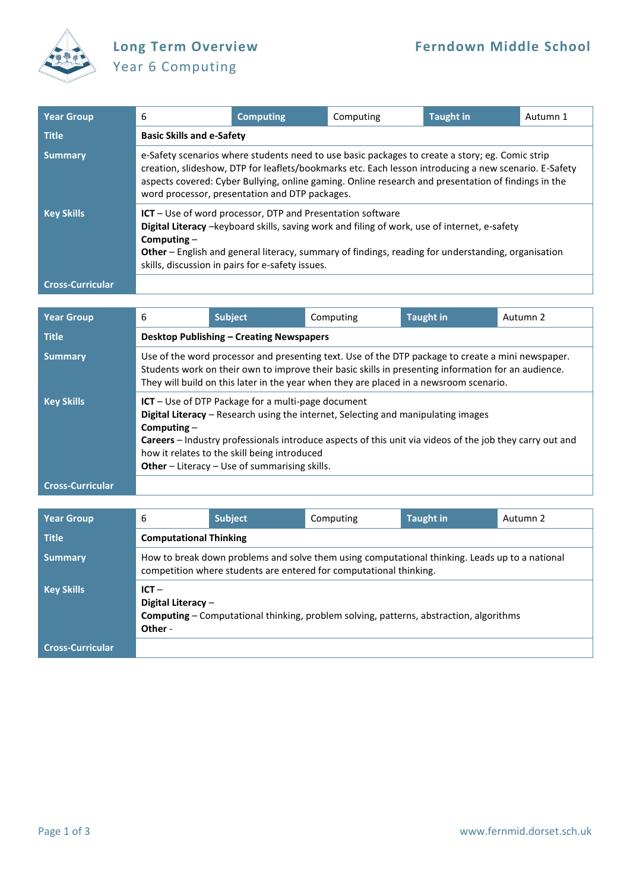

## Year 6 Computing

| <b>Year Group</b>       | 6                                                                                                                                                                                                                                                                                                                                                                 | <b>Computing</b> | Computing | <b>Taught in</b> | Autumn 1 |  |
|-------------------------|-------------------------------------------------------------------------------------------------------------------------------------------------------------------------------------------------------------------------------------------------------------------------------------------------------------------------------------------------------------------|------------------|-----------|------------------|----------|--|
| <b>Title</b>            | <b>Basic Skills and e-Safety</b>                                                                                                                                                                                                                                                                                                                                  |                  |           |                  |          |  |
| <b>Summary</b>          | e-Safety scenarios where students need to use basic packages to create a story; eg. Comic strip<br>creation, slideshow, DTP for leaflets/bookmarks etc. Each lesson introducing a new scenario. E-Safety<br>aspects covered: Cyber Bullying, online gaming. Online research and presentation of findings in the<br>word processor, presentation and DTP packages. |                  |           |                  |          |  |
| <b>Key Skills</b>       | $ICT$ – Use of word processor, DTP and Presentation software<br>Digital Literacy -keyboard skills, saving work and filing of work, use of internet, e-safety<br>Computing $-$<br>Other - English and general literacy, summary of findings, reading for understanding, organisation<br>skills, discussion in pairs for e-safety issues.                           |                  |           |                  |          |  |
| <b>Cross-Curricular</b> |                                                                                                                                                                                                                                                                                                                                                                   |                  |           |                  |          |  |

| <b>Year Group</b>       | 6                                                                                                                                                                                                                                                                                                                                                                              | <b>Subject</b>                                                                                                                                                                                                                                                                                     | Computing | <b>Taught in</b> | Autumn 2 |  |  |  |
|-------------------------|--------------------------------------------------------------------------------------------------------------------------------------------------------------------------------------------------------------------------------------------------------------------------------------------------------------------------------------------------------------------------------|----------------------------------------------------------------------------------------------------------------------------------------------------------------------------------------------------------------------------------------------------------------------------------------------------|-----------|------------------|----------|--|--|--|
| <b>Title</b>            |                                                                                                                                                                                                                                                                                                                                                                                | <b>Desktop Publishing - Creating Newspapers</b>                                                                                                                                                                                                                                                    |           |                  |          |  |  |  |
| <b>Summary</b>          |                                                                                                                                                                                                                                                                                                                                                                                | Use of the word processor and presenting text. Use of the DTP package to create a mini newspaper.<br>Students work on their own to improve their basic skills in presenting information for an audience.<br>They will build on this later in the year when they are placed in a newsroom scenario. |           |                  |          |  |  |  |
| <b>Key Skills</b>       | $ICT$ – Use of DTP Package for a multi-page document<br>Digital Literacy - Research using the internet, Selecting and manipulating images<br>Computing $-$<br><b>Careers</b> – Industry professionals introduce aspects of this unit via videos of the job they carry out and<br>how it relates to the skill being introduced<br>Other - Literacy - Use of summarising skills. |                                                                                                                                                                                                                                                                                                    |           |                  |          |  |  |  |
| <b>Cross-Curricular</b> |                                                                                                                                                                                                                                                                                                                                                                                |                                                                                                                                                                                                                                                                                                    |           |                  |          |  |  |  |

| <b>Year Group</b>       | 6                                                                                                                                         | <b>Subject</b>                                                                                                                                                       | Computing | <b>Taught in</b> | Autumn 2 |  |  |
|-------------------------|-------------------------------------------------------------------------------------------------------------------------------------------|----------------------------------------------------------------------------------------------------------------------------------------------------------------------|-----------|------------------|----------|--|--|
| <b>Title</b>            |                                                                                                                                           | <b>Computational Thinking</b>                                                                                                                                        |           |                  |          |  |  |
| <b>Summary</b>          |                                                                                                                                           | How to break down problems and solve them using computational thinking. Leads up to a national<br>competition where students are entered for computational thinking. |           |                  |          |  |  |
| <b>Key Skills</b>       | $ICT -$<br>Digital Literacy -<br><b>Computing</b> - Computational thinking, problem solving, patterns, abstraction, algorithms<br>Other - |                                                                                                                                                                      |           |                  |          |  |  |
| <b>Cross-Curricular</b> |                                                                                                                                           |                                                                                                                                                                      |           |                  |          |  |  |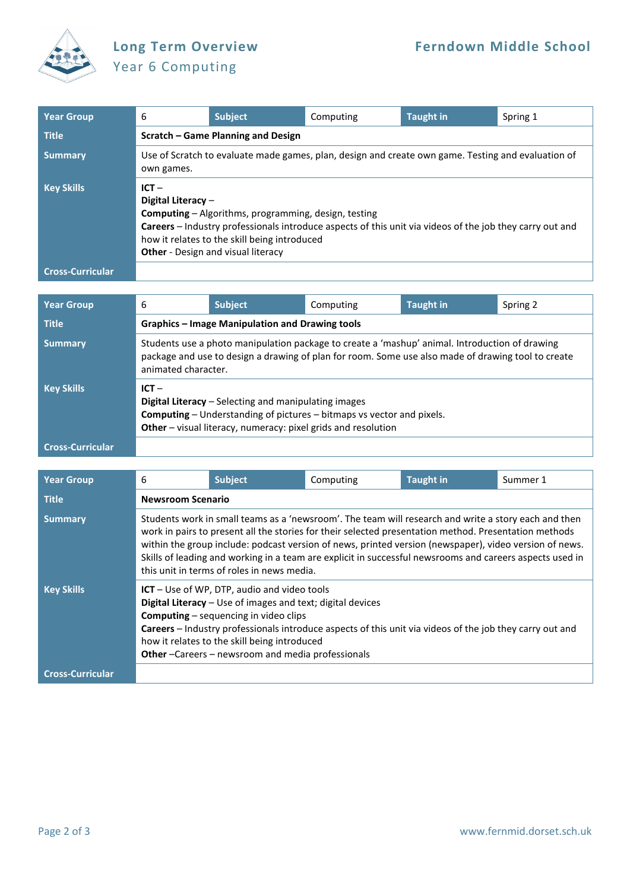

## Year 6 Computing

| <b>Year Group</b>       | 6                                                                                                                                                                                                                                                                                                     | <b>Subject</b> | Computing | <b>Taught in</b> | Spring 1 |  |  |
|-------------------------|-------------------------------------------------------------------------------------------------------------------------------------------------------------------------------------------------------------------------------------------------------------------------------------------------------|----------------|-----------|------------------|----------|--|--|
| <b>Title</b>            | Scratch – Game Planning and Design                                                                                                                                                                                                                                                                    |                |           |                  |          |  |  |
| <b>Summary</b>          | Use of Scratch to evaluate made games, plan, design and create own game. Testing and evaluation of<br>own games.                                                                                                                                                                                      |                |           |                  |          |  |  |
| <b>Key Skills</b>       | $ICT -$<br>Digital Literacy -<br><b>Computing</b> – Algorithms, programming, design, testing<br>Careers - Industry professionals introduce aspects of this unit via videos of the job they carry out and<br>how it relates to the skill being introduced<br><b>Other</b> - Design and visual literacy |                |           |                  |          |  |  |
| <b>Cross-Curricular</b> |                                                                                                                                                                                                                                                                                                       |                |           |                  |          |  |  |

| <b>Year Group</b>       | 6                                                                                                                                                                                                                           | <b>Subject</b>                                  | Computing | <b>Taught in</b> | Spring 2 |  |  |
|-------------------------|-----------------------------------------------------------------------------------------------------------------------------------------------------------------------------------------------------------------------------|-------------------------------------------------|-----------|------------------|----------|--|--|
| <b>Title</b>            |                                                                                                                                                                                                                             | Graphics – Image Manipulation and Drawing tools |           |                  |          |  |  |
| <b>Summary</b>          | Students use a photo manipulation package to create a 'mashup' animal. Introduction of drawing<br>package and use to design a drawing of plan for room. Some use also made of drawing tool to create<br>animated character. |                                                 |           |                  |          |  |  |
| <b>Key Skills</b>       | $ICT -$<br>Digital Literacy - Selecting and manipulating images<br><b>Computing</b> – Understanding of pictures – bitmaps vs vector and pixels.<br>Other - visual literacy, numeracy: pixel grids and resolution            |                                                 |           |                  |          |  |  |
| <b>Cross-Curricular</b> |                                                                                                                                                                                                                             |                                                 |           |                  |          |  |  |

| <b>Year Group</b>       | 6                                                                                                                                                                                                                                                                                                                                                                                                                                                                                 | <b>Subject</b> | Computing | <b>Taught in</b> | Summer 1 |  |  |
|-------------------------|-----------------------------------------------------------------------------------------------------------------------------------------------------------------------------------------------------------------------------------------------------------------------------------------------------------------------------------------------------------------------------------------------------------------------------------------------------------------------------------|----------------|-----------|------------------|----------|--|--|
| <b>Title</b>            | <b>Newsroom Scenario</b>                                                                                                                                                                                                                                                                                                                                                                                                                                                          |                |           |                  |          |  |  |
| <b>Summary</b>          | Students work in small teams as a 'newsroom'. The team will research and write a story each and then<br>work in pairs to present all the stories for their selected presentation method. Presentation methods<br>within the group include: podcast version of news, printed version (newspaper), video version of news.<br>Skills of leading and working in a team are explicit in successful newsrooms and careers aspects used in<br>this unit in terms of roles in news media. |                |           |                  |          |  |  |
| <b>Key Skills</b>       | ICT - Use of WP, DTP, audio and video tools<br>Digital Literacy - Use of images and text; digital devices<br><b>Computing</b> – sequencing in video clips<br>Careers - Industry professionals introduce aspects of this unit via videos of the job they carry out and<br>how it relates to the skill being introduced<br>Other-Careers-newsroom and media professionals                                                                                                           |                |           |                  |          |  |  |
| <b>Cross-Curricular</b> |                                                                                                                                                                                                                                                                                                                                                                                                                                                                                   |                |           |                  |          |  |  |